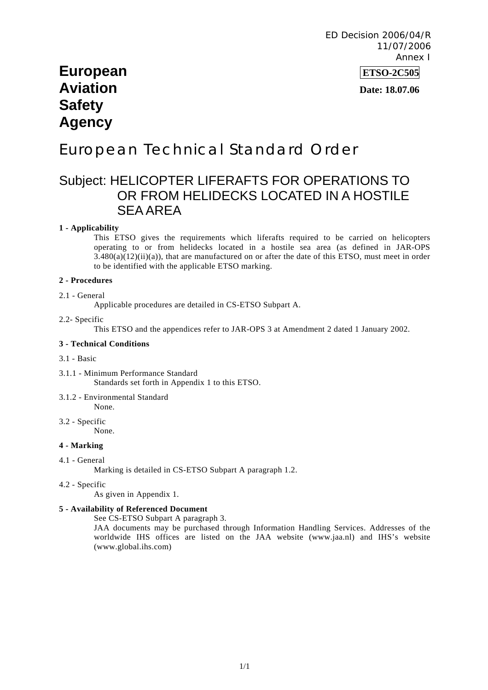# **European ETSO-2C505 Aviation** *Date: 18.07.06* **<b>***Date: 18.07.06* **Safety Agency**

# European Technical Standard Order

# Subject: HELICOPTER LIFERAFTS FOR OPERATIONS TO OR FROM HELIDECKS LOCATED IN A HOSTILE SEA AREA

#### **1 - Applicability**

This ETSO gives the requirements which liferafts required to be carried on helicopters operating to or from helidecks located in a hostile sea area (as defined in JAR-OPS  $3.480(a)(12)(ii)(a)$ , that are manufactured on or after the date of this ETSO, must meet in order to be identified with the applicable ETSO marking.

#### **2 - Procedures**

#### 2.1 - General

Applicable procedures are detailed in CS-ETSO Subpart A.

#### 2.2- Specific

This ETSO and the appendices refer to JAR-OPS 3 at Amendment 2 dated 1 January 2002.

#### **3 - Technical Conditions**

#### 3.1 - Basic

- 3.1.1 Minimum Performance Standard Standards set forth in Appendix 1 to this ETSO.
- 3.1.2 Environmental Standard None.
- 3.2 Specific

None.

#### **4 - Marking**

4.1 - General

Marking is detailed in CS-ETSO Subpart A paragraph 1.2.

4.2 - Specific

As given in Appendix 1.

#### **5 - Availability of Referenced Document**

See CS-ETSO Subpart A paragraph 3.

JAA documents may be purchased through Information Handling Services. Addresses of the worldwide IHS offices are listed on the JAA website (www.jaa.nl) and IHS's website (www.global.ihs.com)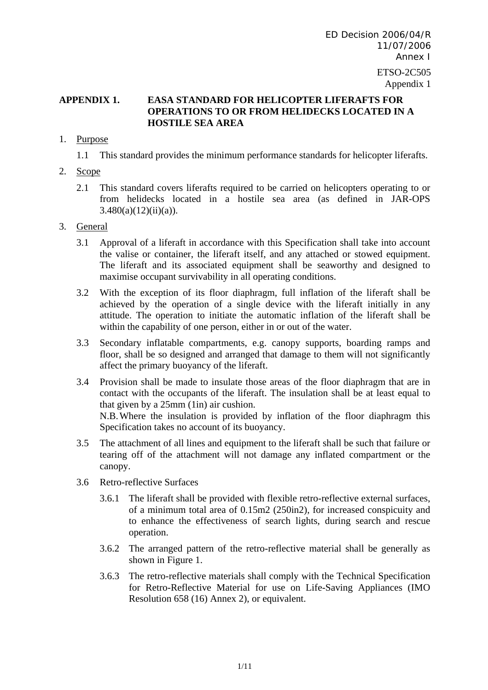# **APPENDIX 1. EASA STANDARD FOR HELICOPTER LIFERAFTS FOR OPERATIONS TO OR FROM HELIDECKS LOCATED IN A HOSTILE SEA AREA**

## 1. Purpose

1.1 This standard provides the minimum performance standards for helicopter liferafts.

- 2. Scope
	- 2.1 This standard covers liferafts required to be carried on helicopters operating to or from helidecks located in a hostile sea area (as defined in JAR-OPS  $3.480(a)(12)(ii)(a)$ ).

# 3. General

- 3.1 Approval of a liferaft in accordance with this Specification shall take into account the valise or container, the liferaft itself, and any attached or stowed equipment. The liferaft and its associated equipment shall be seaworthy and designed to maximise occupant survivability in all operating conditions.
- 3.2 With the exception of its floor diaphragm, full inflation of the liferaft shall be achieved by the operation of a single device with the liferaft initially in any attitude. The operation to initiate the automatic inflation of the liferaft shall be within the capability of one person, either in or out of the water.
- 3.3 Secondary inflatable compartments, e.g. canopy supports, boarding ramps and floor, shall be so designed and arranged that damage to them will not significantly affect the primary buoyancy of the liferaft.
- 3.4 Provision shall be made to insulate those areas of the floor diaphragm that are in contact with the occupants of the liferaft. The insulation shall be at least equal to that given by a 25mm (1in) air cushion. N.B. Where the insulation is provided by inflation of the floor diaphragm this Specification takes no account of its buoyancy.
- 3.5 The attachment of all lines and equipment to the liferaft shall be such that failure or tearing off of the attachment will not damage any inflated compartment or the canopy.
- 3.6 Retro-reflective Surfaces
	- 3.6.1 The liferaft shall be provided with flexible retro-reflective external surfaces, of a minimum total area of 0.15m2 (250in2), for increased conspicuity and to enhance the effectiveness of search lights, during search and rescue operation.
	- 3.6.2 The arranged pattern of the retro-reflective material shall be generally as shown in Figure 1.
	- 3.6.3 The retro-reflective materials shall comply with the Technical Specification for Retro-Reflective Material for use on Life-Saving Appliances (IMO Resolution 658 (16) Annex 2), or equivalent.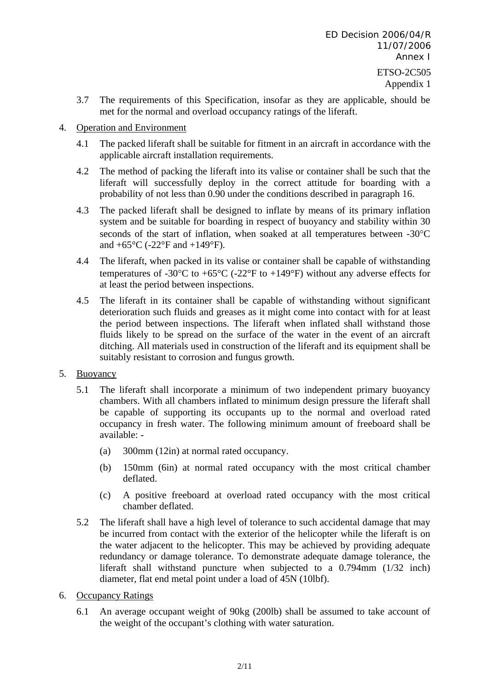- 3.7 The requirements of this Specification, insofar as they are applicable, should be met for the normal and overload occupancy ratings of the liferaft.
- 4. Operation and Environment
	- 4.1 The packed liferaft shall be suitable for fitment in an aircraft in accordance with the applicable aircraft installation requirements.
	- 4.2 The method of packing the liferaft into its valise or container shall be such that the liferaft will successfully deploy in the correct attitude for boarding with a probability of not less than 0.90 under the conditions described in paragraph 16.
	- 4.3 The packed liferaft shall be designed to inflate by means of its primary inflation system and be suitable for boarding in respect of buoyancy and stability within 30 seconds of the start of inflation, when soaked at all temperatures between -30°C and  $+65^{\circ}$ C (-22°F and  $+149^{\circ}$ F).
	- 4.4 The liferaft, when packed in its valise or container shall be capable of withstanding temperatures of -30 $^{\circ}$ C to +65 $^{\circ}$ C (-22 $^{\circ}$ F to +149 $^{\circ}$ F) without any adverse effects for at least the period between inspections.
	- 4.5 The liferaft in its container shall be capable of withstanding without significant deterioration such fluids and greases as it might come into contact with for at least the period between inspections. The liferaft when inflated shall withstand those fluids likely to be spread on the surface of the water in the event of an aircraft ditching. All materials used in construction of the liferaft and its equipment shall be suitably resistant to corrosion and fungus growth.
- 5. Buoyancy
	- 5.1 The liferaft shall incorporate a minimum of two independent primary buoyancy chambers. With all chambers inflated to minimum design pressure the liferaft shall be capable of supporting its occupants up to the normal and overload rated occupancy in fresh water. The following minimum amount of freeboard shall be available: -
		- (a) 300mm (12in) at normal rated occupancy.
		- (b) 150mm (6in) at normal rated occupancy with the most critical chamber deflated.
		- (c) A positive freeboard at overload rated occupancy with the most critical chamber deflated.
	- 5.2 The liferaft shall have a high level of tolerance to such accidental damage that may be incurred from contact with the exterior of the helicopter while the liferaft is on the water adjacent to the helicopter. This may be achieved by providing adequate redundancy or damage tolerance. To demonstrate adequate damage tolerance, the liferaft shall withstand puncture when subjected to a 0.794mm (1/32 inch) diameter, flat end metal point under a load of 45N (10lbf).
- 6. Occupancy Ratings
	- 6.1 An average occupant weight of 90kg (200lb) shall be assumed to take account of the weight of the occupant's clothing with water saturation.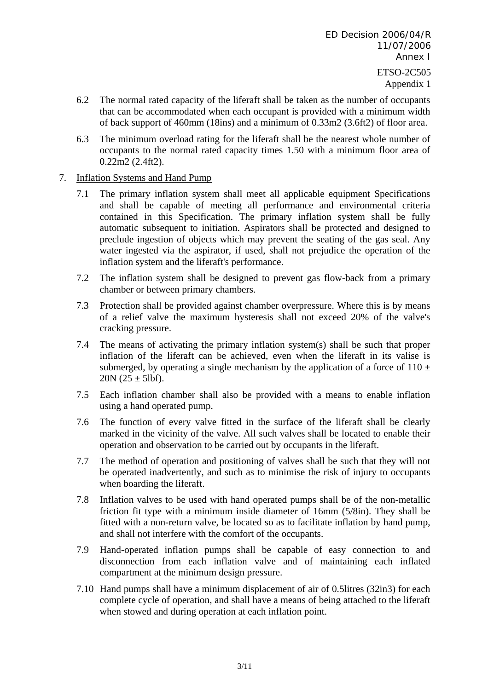- 6.2 The normal rated capacity of the liferaft shall be taken as the number of occupants that can be accommodated when each occupant is provided with a minimum width of back support of 460mm (18ins) and a minimum of 0.33m2 (3.6ft2) of floor area.
- 6.3 The minimum overload rating for the liferaft shall be the nearest whole number of occupants to the normal rated capacity times 1.50 with a minimum floor area of 0.22m2 (2.4ft2).

## 7. Inflation Systems and Hand Pump

- 7.1 The primary inflation system shall meet all applicable equipment Specifications and shall be capable of meeting all performance and environmental criteria contained in this Specification. The primary inflation system shall be fully automatic subsequent to initiation. Aspirators shall be protected and designed to preclude ingestion of objects which may prevent the seating of the gas seal. Any water ingested via the aspirator, if used, shall not prejudice the operation of the inflation system and the liferaft's performance.
- 7.2 The inflation system shall be designed to prevent gas flow-back from a primary chamber or between primary chambers.
- 7.3 Protection shall be provided against chamber overpressure. Where this is by means of a relief valve the maximum hysteresis shall not exceed 20% of the valve's cracking pressure.
- 7.4 The means of activating the primary inflation system(s) shall be such that proper inflation of the liferaft can be achieved, even when the liferaft in its valise is submerged, by operating a single mechanism by the application of a force of  $110 \pm$  $20N (25 \pm 51)$ .
- 7.5 Each inflation chamber shall also be provided with a means to enable inflation using a hand operated pump.
- 7.6 The function of every valve fitted in the surface of the liferaft shall be clearly marked in the vicinity of the valve. All such valves shall be located to enable their operation and observation to be carried out by occupants in the liferaft.
- 7.7 The method of operation and positioning of valves shall be such that they will not be operated inadvertently, and such as to minimise the risk of injury to occupants when boarding the liferaft.
- 7.8 Inflation valves to be used with hand operated pumps shall be of the non-metallic friction fit type with a minimum inside diameter of 16mm (5/8in). They shall be fitted with a non-return valve, be located so as to facilitate inflation by hand pump, and shall not interfere with the comfort of the occupants.
- 7.9 Hand-operated inflation pumps shall be capable of easy connection to and disconnection from each inflation valve and of maintaining each inflated compartment at the minimum design pressure.
- 7.10 Hand pumps shall have a minimum displacement of air of 0.5litres (32in3) for each complete cycle of operation, and shall have a means of being attached to the liferaft when stowed and during operation at each inflation point.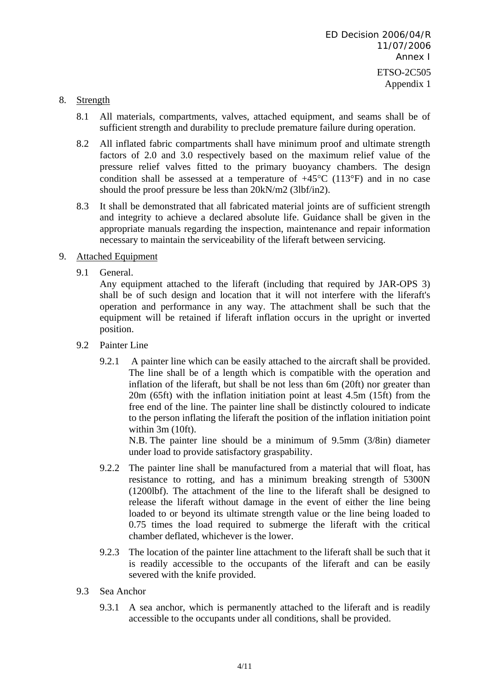### 8. Strength

- 8.1 All materials, compartments, valves, attached equipment, and seams shall be of sufficient strength and durability to preclude premature failure during operation.
- 8.2 All inflated fabric compartments shall have minimum proof and ultimate strength factors of 2.0 and 3.0 respectively based on the maximum relief value of the pressure relief valves fitted to the primary buoyancy chambers. The design condition shall be assessed at a temperature of  $+45^{\circ}$ C (113<sup>°</sup>F) and in no case should the proof pressure be less than 20kN/m2 (3lbf/in2).
- 8.3 It shall be demonstrated that all fabricated material joints are of sufficient strength and integrity to achieve a declared absolute life. Guidance shall be given in the appropriate manuals regarding the inspection, maintenance and repair information necessary to maintain the serviceability of the liferaft between servicing.

# 9. Attached Equipment

9.1 General.

Any equipment attached to the liferaft (including that required by JAR-OPS 3) shall be of such design and location that it will not interfere with the liferaft's operation and performance in any way. The attachment shall be such that the equipment will be retained if liferaft inflation occurs in the upright or inverted position.

- 9.2 Painter Line
	- 9.2.1 A painter line which can be easily attached to the aircraft shall be provided. The line shall be of a length which is compatible with the operation and inflation of the liferaft, but shall be not less than 6m (20ft) nor greater than 20m (65ft) with the inflation initiation point at least 4.5m (15ft) from the free end of the line. The painter line shall be distinctly coloured to indicate to the person inflating the liferaft the position of the inflation initiation point within 3m (10ft).

N.B. The painter line should be a minimum of 9.5mm (3/8in) diameter under load to provide satisfactory graspability.

- 9.2.2 The painter line shall be manufactured from a material that will float, has resistance to rotting, and has a minimum breaking strength of 5300N (1200lbf). The attachment of the line to the liferaft shall be designed to release the liferaft without damage in the event of either the line being loaded to or beyond its ultimate strength value or the line being loaded to 0.75 times the load required to submerge the liferaft with the critical chamber deflated, whichever is the lower.
- 9.2.3 The location of the painter line attachment to the liferaft shall be such that it is readily accessible to the occupants of the liferaft and can be easily severed with the knife provided.
- 9.3 Sea Anchor
	- 9.3.1 A sea anchor, which is permanently attached to the liferaft and is readily accessible to the occupants under all conditions, shall be provided.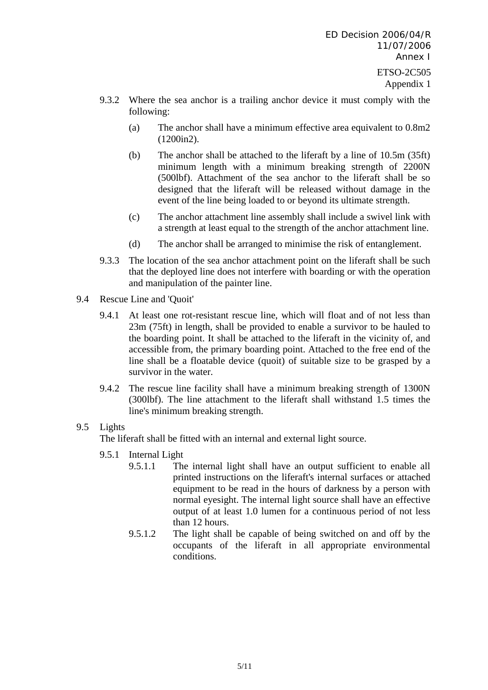- 9.3.2 Where the sea anchor is a trailing anchor device it must comply with the following:
	- (a) The anchor shall have a minimum effective area equivalent to 0.8m2 (1200in2).
	- (b) The anchor shall be attached to the liferaft by a line of 10.5m (35ft) minimum length with a minimum breaking strength of 2200N (500lbf). Attachment of the sea anchor to the liferaft shall be so designed that the liferaft will be released without damage in the event of the line being loaded to or beyond its ultimate strength.
	- (c) The anchor attachment line assembly shall include a swivel link with a strength at least equal to the strength of the anchor attachment line.
	- (d) The anchor shall be arranged to minimise the risk of entanglement.
- 9.3.3 The location of the sea anchor attachment point on the liferaft shall be such that the deployed line does not interfere with boarding or with the operation and manipulation of the painter line.
- 9.4 Rescue Line and 'Quoit'
	- 9.4.1 At least one rot-resistant rescue line, which will float and of not less than 23m (75ft) in length, shall be provided to enable a survivor to be hauled to the boarding point. It shall be attached to the liferaft in the vicinity of, and accessible from, the primary boarding point. Attached to the free end of the line shall be a floatable device (quoit) of suitable size to be grasped by a survivor in the water.
	- 9.4.2 The rescue line facility shall have a minimum breaking strength of 1300N (300lbf). The line attachment to the liferaft shall withstand 1.5 times the line's minimum breaking strength.

# 9.5 Lights

The liferaft shall be fitted with an internal and external light source.

- 9.5.1 Internal Light
	- 9.5.1.1 The internal light shall have an output sufficient to enable all printed instructions on the liferaft's internal surfaces or attached equipment to be read in the hours of darkness by a person with normal eyesight. The internal light source shall have an effective output of at least 1.0 lumen for a continuous period of not less than 12 hours.
	- 9.5.1.2 The light shall be capable of being switched on and off by the occupants of the liferaft in all appropriate environmental conditions.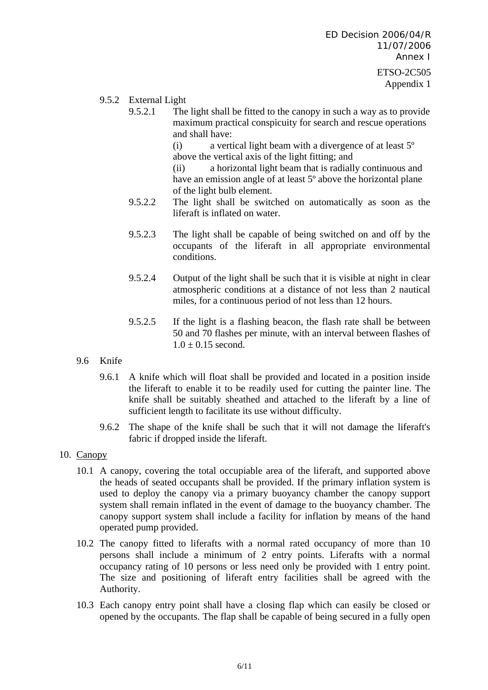- 9.5.2 External Light
	- 9.5.2.1 The light shall be fitted to the canopy in such a way as to provide maximum practical conspicuity for search and rescue operations and shall have:

(i) a vertical light beam with a divergence of at least 5º above the vertical axis of the light fitting; and

(ii) a horizontal light beam that is radially continuous and have an emission angle of at least 5<sup>°</sup> above the horizontal plane of the light bulb element.

- 9.5.2.2 The light shall be switched on automatically as soon as the liferaft is inflated on water.
- 9.5.2.3 The light shall be capable of being switched on and off by the occupants of the liferaft in all appropriate environmental conditions.
- 9.5.2.4 Output of the light shall be such that it is visible at night in clear atmospheric conditions at a distance of not less than 2 nautical miles, for a continuous period of not less than 12 hours.
- 9.5.2.5 If the light is a flashing beacon, the flash rate shall be between 50 and 70 flashes per minute, with an interval between flashes of  $1.0 \pm 0.15$  second.
- 9.6 Knife
	- 9.6.1 A knife which will float shall be provided and located in a position inside the liferaft to enable it to be readily used for cutting the painter line. The knife shall be suitably sheathed and attached to the liferaft by a line of sufficient length to facilitate its use without difficulty.
	- 9.6.2 The shape of the knife shall be such that it will not damage the liferaft's fabric if dropped inside the liferaft.
- 10. Canopy
	- 10.1 A canopy, covering the total occupiable area of the liferaft, and supported above the heads of seated occupants shall be provided. If the primary inflation system is used to deploy the canopy via a primary buoyancy chamber the canopy support system shall remain inflated in the event of damage to the buoyancy chamber. The canopy support system shall include a facility for inflation by means of the hand operated pump provided.
	- 10.2 The canopy fitted to liferafts with a normal rated occupancy of more than 10 persons shall include a minimum of 2 entry points. Liferafts with a normal occupancy rating of 10 persons or less need only be provided with 1 entry point. The size and positioning of liferaft entry facilities shall be agreed with the Authority.
	- 10.3 Each canopy entry point shall have a closing flap which can easily be closed or opened by the occupants. The flap shall be capable of being secured in a fully open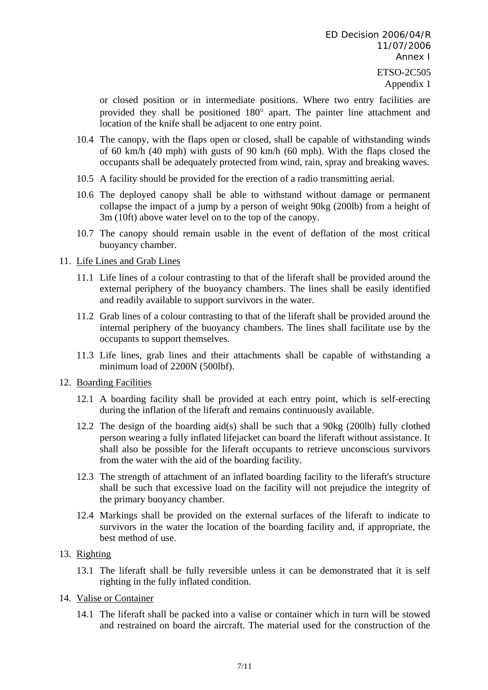or closed position or in intermediate positions. Where two entry facilities are provided they shall be positioned 180° apart. The painter line attachment and location of the knife shall be adjacent to one entry point.

- 10.4 The canopy, with the flaps open or closed, shall be capable of withstanding winds of 60 km/h (40 mph) with gusts of 90 km/h (60 mph). With the flaps closed the occupants shall be adequately protected from wind, rain, spray and breaking waves.
- 10.5 A facility should be provided for the erection of a radio transmitting aerial.
- 10.6 The deployed canopy shall be able to withstand without damage or permanent collapse the impact of a jump by a person of weight 90kg (200lb) from a height of 3m (10ft) above water level on to the top of the canopy.
- 10.7 The canopy should remain usable in the event of deflation of the most critical buoyancy chamber.

#### 11. Life Lines and Grab Lines

- 11.1 Life lines of a colour contrasting to that of the liferaft shall be provided around the external periphery of the buoyancy chambers. The lines shall be easily identified and readily available to support survivors in the water.
- 11.2 Grab lines of a colour contrasting to that of the liferaft shall be provided around the internal periphery of the buoyancy chambers. The lines shall facilitate use by the occupants to support themselves.
- 11.3 Life lines, grab lines and their attachments shall be capable of withstanding a minimum load of 2200N (500lbf).
- 12. Boarding Facilities
	- 12.1 A boarding facility shall be provided at each entry point, which is self-erecting during the inflation of the liferaft and remains continuously available.
	- 12.2 The design of the boarding aid(s) shall be such that a 90kg (200lb) fully clothed person wearing a fully inflated lifejacket can board the liferaft without assistance. It shall also be possible for the liferaft occupants to retrieve unconscious survivors from the water with the aid of the boarding facility.
	- 12.3 The strength of attachment of an inflated boarding facility to the liferaft's structure shall be such that excessive load on the facility will not prejudice the integrity of the primary buoyancy chamber.
	- 12.4 Markings shall be provided on the external surfaces of the liferaft to indicate to survivors in the water the location of the boarding facility and, if appropriate, the best method of use.

# 13. Righting

- 13.1 The liferaft shall be fully reversible unless it can be demonstrated that it is self righting in the fully inflated condition.
- 14. Valise or Container
	- 14.1 The liferaft shall be packed into a valise or container which in turn will be stowed and restrained on board the aircraft. The material used for the construction of the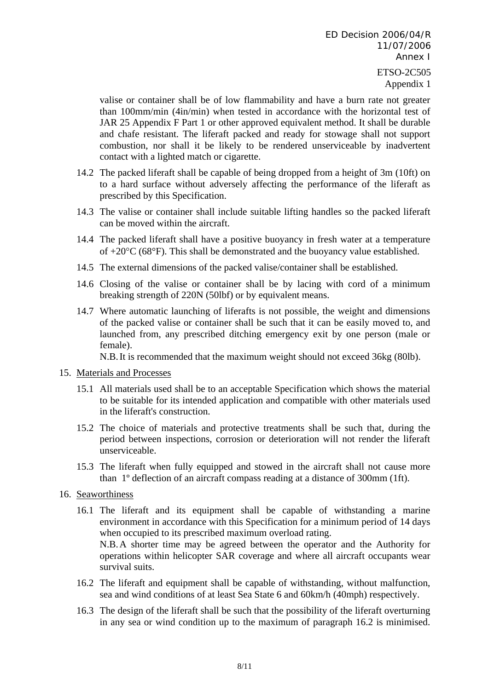valise or container shall be of low flammability and have a burn rate not greater than 100mm/min (4in/min) when tested in accordance with the horizontal test of JAR 25 Appendix F Part 1 or other approved equivalent method. It shall be durable and chafe resistant. The liferaft packed and ready for stowage shall not support combustion, nor shall it be likely to be rendered unserviceable by inadvertent contact with a lighted match or cigarette.

- 14.2 The packed liferaft shall be capable of being dropped from a height of 3m (10ft) on to a hard surface without adversely affecting the performance of the liferaft as prescribed by this Specification.
- 14.3 The valise or container shall include suitable lifting handles so the packed liferaft can be moved within the aircraft.
- 14.4 The packed liferaft shall have a positive buoyancy in fresh water at a temperature of +20°C (68°F). This shall be demonstrated and the buoyancy value established.
- 14.5 The external dimensions of the packed valise/container shall be established.
- 14.6 Closing of the valise or container shall be by lacing with cord of a minimum breaking strength of 220N (50lbf) or by equivalent means.
- 14.7 Where automatic launching of liferafts is not possible, the weight and dimensions of the packed valise or container shall be such that it can be easily moved to, and launched from, any prescribed ditching emergency exit by one person (male or female).

N.B. It is recommended that the maximum weight should not exceed 36kg (80lb).

#### 15. Materials and Processes

- 15.1 All materials used shall be to an acceptable Specification which shows the material to be suitable for its intended application and compatible with other materials used in the liferaft's construction.
- 15.2 The choice of materials and protective treatments shall be such that, during the period between inspections, corrosion or deterioration will not render the liferaft unserviceable.
- 15.3 The liferaft when fully equipped and stowed in the aircraft shall not cause more than 1º deflection of an aircraft compass reading at a distance of 300mm (1ft).
- 16. Seaworthiness
	- 16.1 The liferaft and its equipment shall be capable of withstanding a marine environment in accordance with this Specification for a minimum period of 14 days when occupied to its prescribed maximum overload rating. N.B. A shorter time may be agreed between the operator and the Authority for operations within helicopter SAR coverage and where all aircraft occupants wear survival suits.
	- 16.2 The liferaft and equipment shall be capable of withstanding, without malfunction, sea and wind conditions of at least Sea State 6 and 60km/h (40mph) respectively.
	- 16.3 The design of the liferaft shall be such that the possibility of the liferaft overturning in any sea or wind condition up to the maximum of paragraph 16.2 is minimised.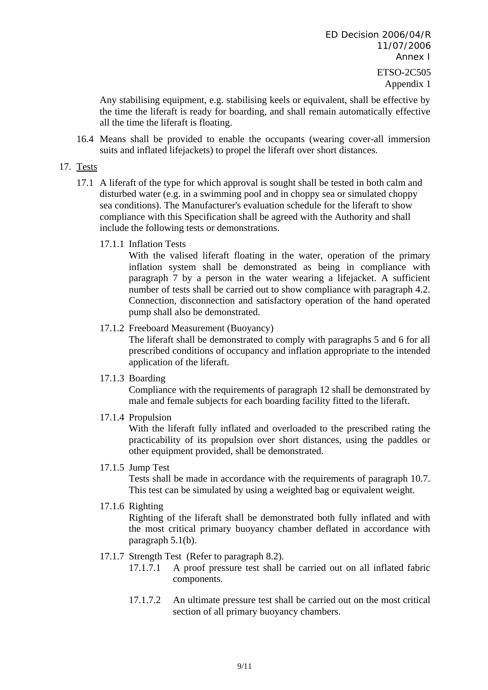Any stabilising equipment, e.g. stabilising keels or equivalent, shall be effective by the time the liferaft is ready for boarding, and shall remain automatically effective all the time the liferaft is floating.

16.4 Means shall be provided to enable the occupants (wearing cover-all immersion suits and inflated lifejackets) to propel the liferaft over short distances.

### 17. Tests

- 17.1 A liferaft of the type for which approval is sought shall be tested in both calm and disturbed water (e.g. in a swimming pool and in choppy sea or simulated choppy sea conditions). The Manufacturer's evaluation schedule for the liferaft to show compliance with this Specification shall be agreed with the Authority and shall include the following tests or demonstrations.
	- 17.1.1 Inflation Tests

With the valised liferaft floating in the water, operation of the primary inflation system shall be demonstrated as being in compliance with paragraph 7 by a person in the water wearing a lifejacket. A sufficient number of tests shall be carried out to show compliance with paragraph 4.2. Connection, disconnection and satisfactory operation of the hand operated pump shall also be demonstrated.

17.1.2 Freeboard Measurement (Buoyancy)

The liferaft shall be demonstrated to comply with paragraphs 5 and 6 for all prescribed conditions of occupancy and inflation appropriate to the intended application of the liferaft.

17.1.3 Boarding

Compliance with the requirements of paragraph 12 shall be demonstrated by male and female subjects for each boarding facility fitted to the liferaft.

17.1.4 Propulsion

With the liferaft fully inflated and overloaded to the prescribed rating the practicability of its propulsion over short distances, using the paddles or other equipment provided, shall be demonstrated.

17.1.5 Jump Test

Tests shall be made in accordance with the requirements of paragraph 10.7. This test can be simulated by using a weighted bag or equivalent weight.

17.1.6 Righting

Righting of the liferaft shall be demonstrated both fully inflated and with the most critical primary buoyancy chamber deflated in accordance with paragraph 5.1(b).

- 17.1.7 Strength Test (Refer to paragraph 8.2).
	- 17.1.7.1 A proof pressure test shall be carried out on all inflated fabric components.
	- 17.1.7.2 An ultimate pressure test shall be carried out on the most critical section of all primary buoyancy chambers.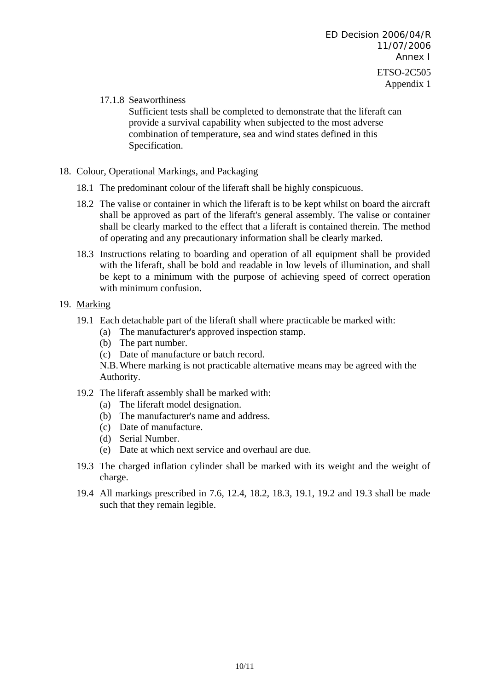# 17.1.8 Seaworthiness

Sufficient tests shall be completed to demonstrate that the liferaft can provide a survival capability when subjected to the most adverse combination of temperature, sea and wind states defined in this Specification.

## 18. Colour, Operational Markings, and Packaging

- 18.1 The predominant colour of the liferaft shall be highly conspicuous.
- 18.2 The valise or container in which the liferaft is to be kept whilst on board the aircraft shall be approved as part of the liferaft's general assembly. The valise or container shall be clearly marked to the effect that a liferaft is contained therein. The method of operating and any precautionary information shall be clearly marked.
- 18.3 Instructions relating to boarding and operation of all equipment shall be provided with the liferaft, shall be bold and readable in low levels of illumination, and shall be kept to a minimum with the purpose of achieving speed of correct operation with minimum confusion.

# 19. Marking

- 19.1 Each detachable part of the liferaft shall where practicable be marked with:
	- (a) The manufacturer's approved inspection stamp.
	- (b) The part number.
	- (c) Date of manufacture or batch record.

N.B. Where marking is not practicable alternative means may be agreed with the Authority.

- 19.2 The liferaft assembly shall be marked with:
	- (a) The liferaft model designation.
	- (b) The manufacturer's name and address.
	- (c) Date of manufacture.
	- (d) Serial Number.
	- (e) Date at which next service and overhaul are due.
- 19.3 The charged inflation cylinder shall be marked with its weight and the weight of charge.
- 19.4 All markings prescribed in 7.6, 12.4, 18.2, 18.3, 19.1, 19.2 and 19.3 shall be made such that they remain legible.